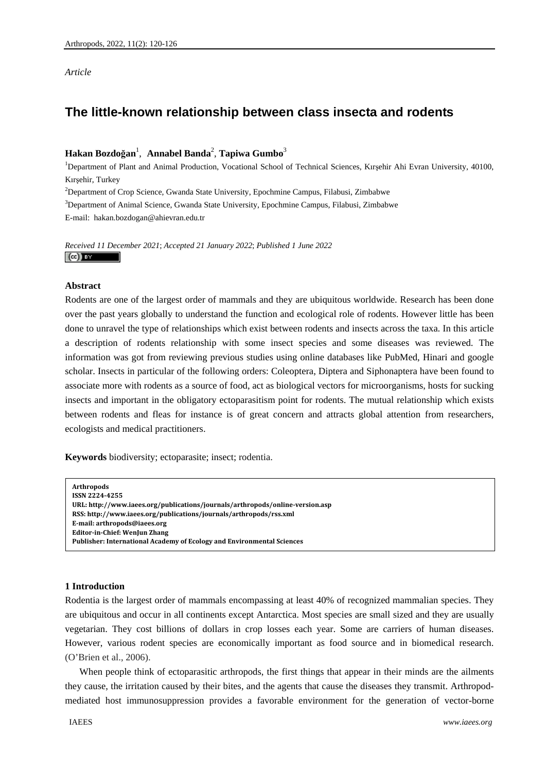*Article* 

# **The little-known relationship between class insecta and rodents**

# **Hakan Bozdoğan** 1 ,  **Annabel Banda**<sup>2</sup> , **Tapiwa Gumbo**<sup>3</sup>

<sup>1</sup>Department of Plant and Animal Production, Vocational School of Technical Sciences, Kırşehir Ahi Evran University, 40100, Kırşehir, Turkey

2 Department of Crop Science, Gwanda State University, Epochmine Campus, Filabusi, Zimbabwe

<sup>3</sup>Department of Animal Science, Gwanda State University, Epochmine Campus, Filabusi, Zimbabwe E-mail: hakan.bozdogan@ahievran.edu.tr

*Received 11 December 2021*; *Accepted 21 January 2022*; *Published 1 June 2022*   $(cc)$  BY

# **Abstract**

Rodents are one of the largest order of mammals and they are ubiquitous worldwide. Research has been done over the past years globally to understand the function and ecological role of rodents. However little has been done to unravel the type of relationships which exist between rodents and insects across the taxa. In this article a description of rodents relationship with some insect species and some diseases was reviewed. The information was got from reviewing previous studies using online databases like PubMed, Hinari and google scholar. Insects in particular of the following orders: Coleoptera, Diptera and Siphonaptera have been found to associate more with rodents as a source of food, act as biological vectors for microorganisms, hosts for sucking insects and important in the obligatory ectoparasitism point for rodents. The mutual relationship which exists between rodents and fleas for instance is of great concern and attracts global attention from researchers, ecologists and medical practitioners.

**Keywords** biodiversity; ectoparasite; insect; rodentia.

**Arthropods ISSN 22244255 URL: http://www.iaees.org/publications/journals/arthropods/onlineversion.asp RSS: http://www.iaees.org/publications/journals/arthropods/rss.xml Email: arthropods@iaees.org EditorinChief: WenJun Zhang Publisher: International Academy of Ecology and Environmental Sciences**

# **1 Introduction**

Rodentia is the largest order of mammals encompassing at least 40% of recognized mammalian species. They are ubiquitous and occur in all continents except Antarctica. Most species are small sized and they are usually vegetarian. They cost billions of dollars in crop losses each year. Some are carriers of human diseases. However, various rodent species are economically important as food source and in biomedical research. (O'Brien et al., 2006).

When people think of ectoparasitic arthropods, the first things that appear in their minds are the ailments they cause, the irritation caused by their bites, and the agents that cause the diseases they transmit. Arthropodmediated host immunosuppression provides a favorable environment for the generation of vector-borne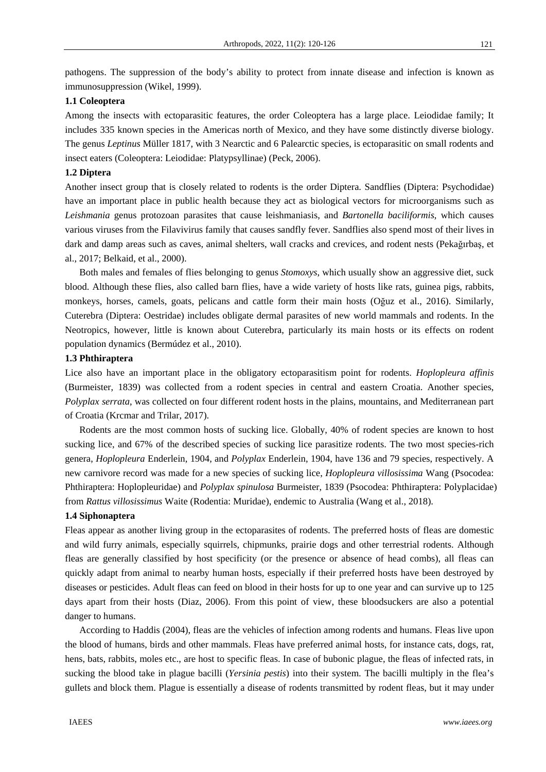pathogens. The suppression of the body's ability to protect from innate disease and infection is known as immunosuppression (Wikel, 1999).

### **1.1 Coleoptera**

Among the insects with ectoparasitic features, the order Coleoptera has a large place. Leiodidae family; It includes 335 known species in the Americas north of Mexico, and they have some distinctly diverse biology. The genus *Leptinus* Müller 1817, with 3 Nearctic and 6 Palearctic species, is ectoparasitic on small rodents and insect eaters (Coleoptera: Leiodidae: Platypsyllinae) (Peck, 2006).

#### **1.2 Diptera**

Another insect group that is closely related to rodents is the order Diptera. Sandflies (Diptera: Psychodidae) have an important place in public health because they act as biological vectors for microorganisms such as *Leishmania* genus protozoan parasites that cause leishmaniasis, and *Bartonella baciliformis*, which causes various viruses from the Filavivirus family that causes sandfly fever. Sandflies also spend most of their lives in dark and damp areas such as caves, animal shelters, wall cracks and crevices, and rodent nests (Pekağırbaş, et al., 2017; Belkaid, et al., 2000).

Both males and females of flies belonging to genus *Stomoxys*, which usually show an aggressive diet, suck blood. Although these flies, also called barn flies, have a wide variety of hosts like rats, guinea pigs, rabbits, monkeys, horses, camels, goats, pelicans and cattle form their main hosts (Oğuz et al., 2016). Similarly, Cuterebra (Diptera: Oestridae) includes obligate dermal parasites of new world mammals and rodents. In the Neotropics, however, little is known about Cuterebra, particularly its main hosts or its effects on rodent population dynamics (Bermúdez et al., 2010).

#### **1.3 Phthiraptera**

Lice also have an important place in the obligatory ectoparasitism point for rodents. *Hoplopleura affinis* (Burmeister, 1839) was collected from a rodent species in central and eastern Croatia. Another species, *Polyplax serrata*, was collected on four different rodent hosts in the plains, mountains, and Mediterranean part of Croatia (Krcmar and Trilar, 2017).

Rodents are the most common hosts of sucking lice. Globally, 40% of rodent species are known to host sucking lice, and 67% of the described species of sucking lice parasitize rodents. The two most species-rich genera, *Hoplopleura* Enderlein, 1904, and *Polyplax* Enderlein, 1904, have 136 and 79 species, respectively. A new carnivore record was made for a new species of sucking lice, *Hoplopleura villosissima* Wang (Psocodea: Phthiraptera: Hoplopleuridae) and *Polyplax spinulosa* Burmeister, 1839 (Psocodea: Phthiraptera: Polyplacidae) from *Rattus villosissimus* Waite (Rodentia: Muridae), endemic to Australia (Wang et al., 2018).

## **1.4 Siphonaptera**

Fleas appear as another living group in the ectoparasites of rodents. The preferred hosts of fleas are domestic and wild furry animals, especially squirrels, chipmunks, prairie dogs and other terrestrial rodents. Although fleas are generally classified by host specificity (or the presence or absence of head combs), all fleas can quickly adapt from animal to nearby human hosts, especially if their preferred hosts have been destroyed by diseases or pesticides. Adult fleas can feed on blood in their hosts for up to one year and can survive up to 125 days apart from their hosts (Diaz, 2006). From this point of view, these bloodsuckers are also a potential danger to humans.

According to Haddis (2004), fleas are the vehicles of infection among rodents and humans. Fleas live upon the blood of humans, birds and other mammals. Fleas have preferred animal hosts, for instance cats, dogs, rat, hens, bats, rabbits, moles etc., are host to specific fleas. In case of bubonic plague, the fleas of infected rats, in sucking the blood take in plague bacilli (*Yersinia pestis*) into their system. The bacilli multiply in the flea's gullets and block them. Plague is essentially a disease of rodents transmitted by rodent fleas, but it may under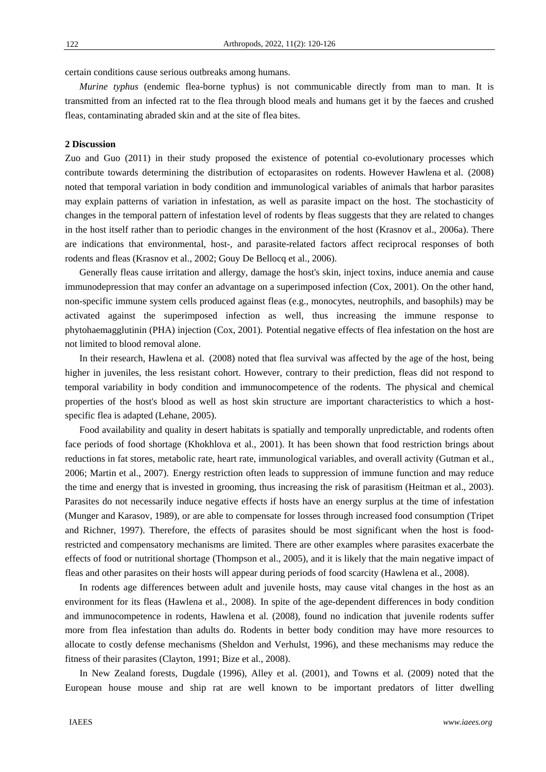122

certain conditions cause serious outbreaks among humans.

*Murine typhus* (endemic flea-borne typhus) is not communicable directly from man to man. It is transmitted from an infected rat to the flea through blood meals and humans get it by the faeces and crushed fleas, contaminating abraded skin and at the site of flea bites.

#### **2 Discussion**

Zuo and Guo (2011) in their study proposed the existence of potential co-evolutionary processes which contribute towards determining the distribution of ectoparasites on rodents. However Hawlena et al. (2008) noted that temporal variation in body condition and immunological variables of animals that harbor parasites may explain patterns of variation in infestation, as well as parasite impact on the host. The stochasticity of changes in the temporal pattern of infestation level of rodents by fleas suggests that they are related to changes in the host itself rather than to periodic changes in the environment of the host (Krasnov et al., 2006a). There are indications that environmental, host-, and parasite-related factors affect reciprocal responses of both rodents and fleas (Krasnov et al., 2002; Gouy De Bellocq et al., 2006).

Generally fleas cause irritation and allergy, damage the host's skin, inject toxins, induce anemia and cause immunodepression that may confer an advantage on a superimposed infection (Cox, 2001). On the other hand, non-specific immune system cells produced against fleas (e.g., monocytes, neutrophils, and basophils) may be activated against the superimposed infection as well, thus increasing the immune response to phytohaemagglutinin (PHA) injection (Cox, 2001). Potential negative effects of flea infestation on the host are not limited to blood removal alone.

In their research, Hawlena et al. (2008) noted that flea survival was affected by the age of the host, being higher in juveniles, the less resistant cohort. However, contrary to their prediction, fleas did not respond to temporal variability in body condition and immunocompetence of the rodents. The physical and chemical properties of the host's blood as well as host skin structure are important characteristics to which a hostspecific flea is adapted (Lehane, 2005).

Food availability and quality in desert habitats is spatially and temporally unpredictable, and rodents often face periods of food shortage (Khokhlova et al., 2001). It has been shown that food restriction brings about reductions in fat stores, metabolic rate, heart rate, immunological variables, and overall activity (Gutman et al., 2006; Martin et al., 2007). Energy restriction often leads to suppression of immune function and may reduce the time and energy that is invested in grooming, thus increasing the risk of parasitism (Heitman et al., 2003). Parasites do not necessarily induce negative effects if hosts have an energy surplus at the time of infestation (Munger and Karasov, 1989), or are able to compensate for losses through increased food consumption (Tripet and Richner, 1997). Therefore, the effects of parasites should be most significant when the host is foodrestricted and compensatory mechanisms are limited. There are other examples where parasites exacerbate the effects of food or nutritional shortage (Thompson et al., 2005), and it is likely that the main negative impact of fleas and other parasites on their hosts will appear during periods of food scarcity (Hawlena et al., 2008).

In rodents age differences between adult and juvenile hosts, may cause vital changes in the host as an environment for its fleas (Hawlena et al., 2008). In spite of the age-dependent differences in body condition and immunocompetence in rodents, Hawlena et al. (2008), found no indication that juvenile rodents suffer more from flea infestation than adults do. Rodents in better body condition may have more resources to allocate to costly defense mechanisms (Sheldon and Verhulst, 1996), and these mechanisms may reduce the fitness of their parasites (Clayton, 1991; Bize et al., 2008).

In New Zealand forests, Dugdale (1996), Alley et al. (2001), and Towns et al. (2009) noted that the European house mouse and ship rat are well known to be important predators of litter dwelling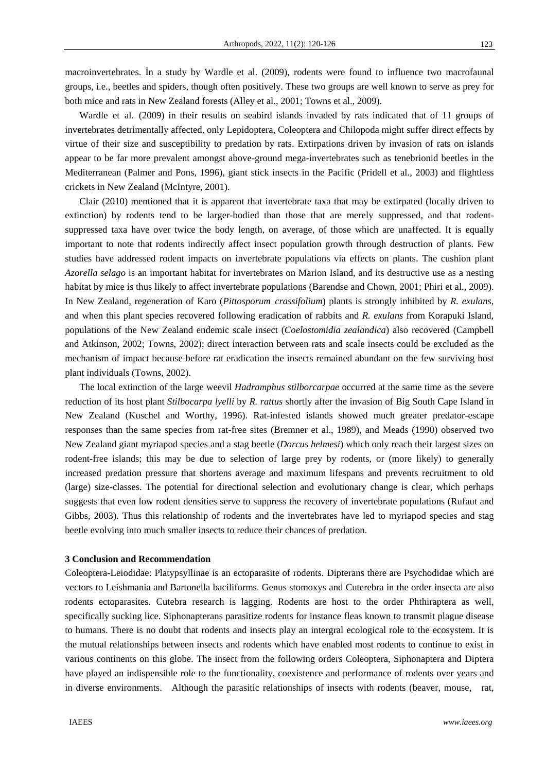macroinvertebrates. İn a study by Wardle et al. (2009), rodents were found to influence two macrofaunal groups, i.e., beetles and spiders, though often positively. These two groups are well known to serve as prey for both mice and rats in New Zealand forests (Alley et al., 2001; Towns et al., 2009).

Wardle et al. (2009) in their results on seabird islands invaded by rats indicated that of 11 groups of invertebrates detrimentally affected, only Lepidoptera, Coleoptera and Chilopoda might suffer direct effects by virtue of their size and susceptibility to predation by rats. Extirpations driven by invasion of rats on islands appear to be far more prevalent amongst above-ground mega-invertebrates such as tenebrionid beetles in the Mediterranean (Palmer and Pons, 1996), giant stick insects in the Pacific (Pridell et al., 2003) and flightless crickets in New Zealand (McIntyre, 2001).

Clair (2010) mentioned that it is apparent that invertebrate taxa that may be extirpated (locally driven to extinction) by rodents tend to be larger-bodied than those that are merely suppressed, and that rodentsuppressed taxa have over twice the body length, on average, of those which are unaffected. It is equally important to note that rodents indirectly affect insect population growth through destruction of plants. Few studies have addressed rodent impacts on invertebrate populations via effects on plants. The cushion plant *Azorella selago* is an important habitat for invertebrates on Marion Island, and its destructive use as a nesting habitat by mice is thus likely to affect invertebrate populations (Barendse and Chown, 2001; Phiri et al., 2009). In New Zealand, regeneration of Karo (*Pittosporum crassifolium*) plants is strongly inhibited by *R. exulans,* and when this plant species recovered following eradication of rabbits and *R. exulans* from Korapuki Island, populations of the New Zealand endemic scale insect (*Coelostomidia zealandica*) also recovered (Campbell and Atkinson, 2002; Towns, 2002); direct interaction between rats and scale insects could be excluded as the mechanism of impact because before rat eradication the insects remained abundant on the few surviving host plant individuals (Towns, 2002).

The local extinction of the large weevil *Hadramphus stilborcarpae* occurred at the same time as the severe reduction of its host plant *Stilbocarpa lyelli* by *R. rattus* shortly after the invasion of Big South Cape Island in New Zealand (Kuschel and Worthy, 1996). Rat-infested islands showed much greater predator-escape responses than the same species from rat-free sites (Bremner et al., 1989), and Meads (1990) observed two New Zealand giant myriapod species and a stag beetle (*Dorcus helmesi*) which only reach their largest sizes on rodent-free islands; this may be due to selection of large prey by rodents, or (more likely) to generally increased predation pressure that shortens average and maximum lifespans and prevents recruitment to old (large) size-classes. The potential for directional selection and evolutionary change is clear, which perhaps suggests that even low rodent densities serve to suppress the recovery of invertebrate populations (Rufaut and Gibbs, 2003). Thus this relationship of rodents and the invertebrates have led to myriapod species and stag beetle evolving into much smaller insects to reduce their chances of predation.

#### **3 Conclusion and Recommendation**

Coleoptera-Leiodidae: Platypsyllinae is an ectoparasite of rodents. Dipterans there are Psychodidae which are vectors to Leishmania and Bartonella baciliforms. Genus stomoxys and Cuterebra in the order insecta are also rodents ectoparasites. Cutebra research is lagging. Rodents are host to the order Phthiraptera as well, specifically sucking lice. Siphonapterans parasitize rodents for instance fleas known to transmit plague disease to humans. There is no doubt that rodents and insects play an intergral ecological role to the ecosystem. It is the mutual relationships between insects and rodents which have enabled most rodents to continue to exist in various continents on this globe. The insect from the following orders Coleoptera, Siphonaptera and Diptera have played an indispensible role to the functionality, coexistence and performance of rodents over years and in diverse environments. Although the parasitic relationships of insects with rodents (beaver, mouse, rat,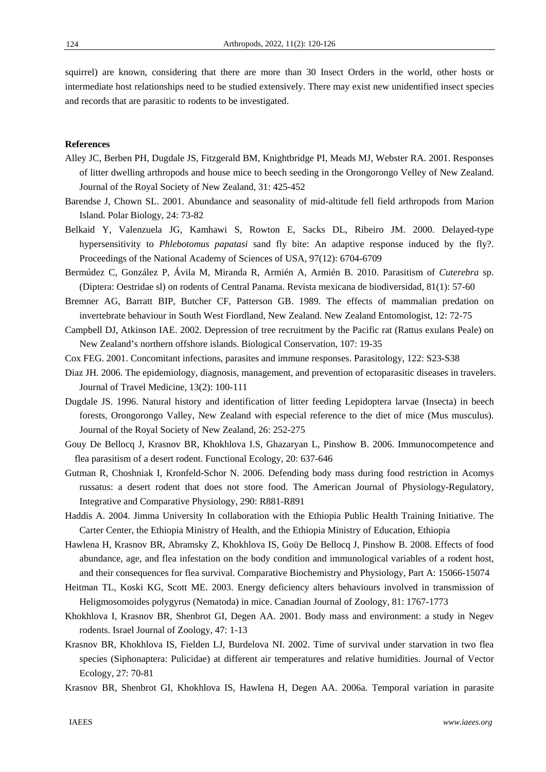squirrel) are known, considering that there are more than 30 Insect Orders in the world, other hosts or intermediate host relationships need to be studied extensively. There may exist new unidentified insect species and records that are parasitic to rodents to be investigated.

#### **References**

- Alley JC, Berben PH, Dugdale JS, Fitzgerald BM, Knightbridge PI, Meads MJ, Webster RA. 2001. Responses of litter dwelling arthropods and house mice to beech seeding in the Orongorongo Velley of New Zealand. Journal of the Royal Society of New Zealand, 31: 425-452
- Barendse J, Chown SL. 2001. Abundance and seasonality of mid-altitude fell field arthropods from Marion Island. Polar Biology, 24: 73-82
- Belkaid Y, Valenzuela JG, Kamhawi S, Rowton E, Sacks DL, Ribeiro JM. 2000. Delayed-type hypersensitivity to *Phlebotomus papatasi* sand fly bite: An adaptive response induced by the fly?. Proceedings of the National Academy of Sciences of USA, 97(12): 6704-6709
- Bermúdez C, González P, Ávila M, Miranda R, Armién A, Armién B. 2010. Parasitism of *Cuterebra* sp. (Diptera: Oestridae sl) on rodents of Central Panama. Revista mexicana de biodiversidad, 81(1): 57-60
- Bremner AG, Barratt BIP, Butcher CF, Patterson GB. 1989. The effects of mammalian predation on invertebrate behaviour in South West Fiordland, New Zealand. New Zealand Entomologist, 12: 72-75
- Campbell DJ, Atkinson IAE. 2002. Depression of tree recruitment by the Pacific rat (Rattus exulans Peale) on New Zealand's northern offshore islands. Biological Conservation, 107: 19-35
- Cox FEG. 2001. Concomitant infections, parasites and immune responses. Parasitology, 122: S23-S38
- Diaz JH. 2006. The epidemiology, diagnosis, management, and prevention of ectoparasitic diseases in travelers. Journal of Travel Medicine, 13(2): 100-111
- Dugdale JS. 1996. Natural history and identification of litter feeding Lepidoptera larvae (Insecta) in beech forests, Orongorongo Valley, New Zealand with especial reference to the diet of mice (Mus musculus). Journal of the Royal Society of New Zealand, 26: 252-275
- Gouy De Bellocq J, Krasnov BR, Khokhlova I.S, Ghazaryan L, Pinshow B. 2006. Immunocompetence and flea parasitism of a desert rodent. Functional Ecology, 20: 637-646
- Gutman R, Choshniak I, Kronfeld-Schor N. 2006. Defending body mass during food restriction in Acomys russatus: a desert rodent that does not store food. The American Journal of Physiology-Regulatory, Integrative and Comparative Physiology, 290: R881-R891
- Haddis A. 2004. Jimma University In collaboration with the Ethiopia Public Health Training Initiative. The Carter Center, the Ethiopia Ministry of Health, and the Ethiopia Ministry of Education, Ethiopia
- Hawlena H, Krasnov BR, Abramsky Z, Khokhlova IS, Goüy De Bellocq J, Pinshow B. 2008. Effects of food abundance, age, and flea infestation on the body condition and immunological variables of a rodent host, and their consequences for flea survival. Comparative Biochemistry and Physiology, Part A: 15066-15074
- Heitman TL, Koski KG, Scott ME. 2003. Energy deficiency alters behaviours involved in transmission of Heligmosomoides polygyrus (Nematoda) in mice. Canadian Journal of Zoology, 81: 1767-1773
- Khokhlova I, Krasnov BR, Shenbrot GI, Degen AA. 2001. Body mass and environment: a study in Negev rodents. Israel Journal of Zoology, 47: 1-13
- Krasnov BR, Khokhlova IS, Fielden LJ, Burdelova NI. 2002. Time of survival under starvation in two flea species (Siphonaptera: Pulicidae) at different air temperatures and relative humidities. Journal of Vector Ecology, 27: 70-81
- Krasnov BR, Shenbrot GI, Khokhlova IS, Hawlena H, Degen AA. 2006a. Temporal variation in parasite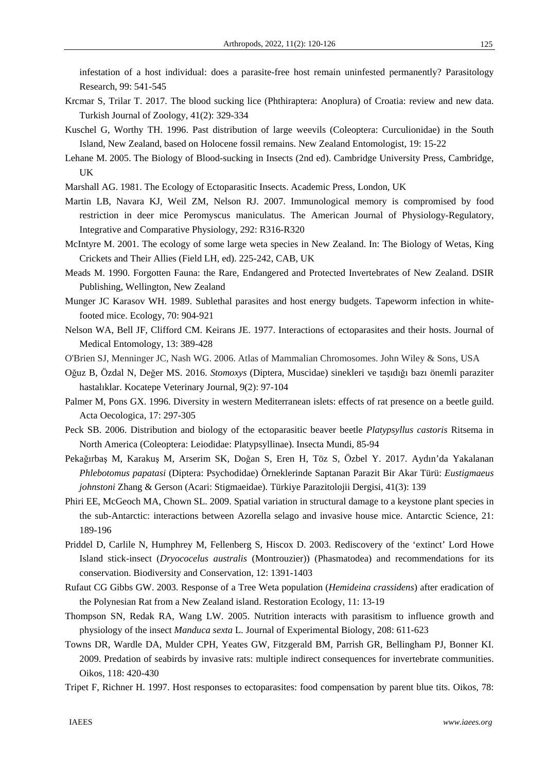infestation of a host individual: does a parasite-free host remain uninfested permanently? Parasitology Research, 99: 541-545

- Krcmar S, Trilar T. 2017. The blood sucking lice (Phthiraptera: Anoplura) of Croatia: review and new data. Turkish Journal of Zoology, 41(2): 329-334
- Kuschel G, Worthy TH. 1996. Past distribution of large weevils (Coleoptera: Curculionidae) in the South Island, New Zealand, based on Holocene fossil remains. New Zealand Entomologist, 19: 15-22
- Lehane M. 2005. The Biology of Blood-sucking in Insects (2nd ed). Cambridge University Press, Cambridge, UK
- Marshall AG. 1981. The Ecology of Ectoparasitic Insects. Academic Press, London, UK
- Martin LB, Navara KJ, Weil ZM, Nelson RJ. 2007. Immunological memory is compromised by food restriction in deer mice Peromyscus maniculatus. The American Journal of Physiology-Regulatory, Integrative and Comparative Physiology, 292: R316-R320
- McIntyre M. 2001. The ecology of some large weta species in New Zealand. In: The Biology of Wetas, King Crickets and Their Allies (Field LH, ed). 225-242, CAB, UK
- Meads M. 1990. Forgotten Fauna: the Rare, Endangered and Protected Invertebrates of New Zealand. DSIR Publishing, Wellington, New Zealand
- Munger JC Karasov WH. 1989. Sublethal parasites and host energy budgets. Tapeworm infection in whitefooted mice. Ecology, 70: 904-921
- Nelson WA, Bell JF, Clifford CM. Keirans JE. 1977. Interactions of ectoparasites and their hosts. Journal of Medical Entomology, 13: 389-428
- O'Brien SJ, Menninger JC, Nash WG. 2006. Atlas of Mammalian Chromosomes. John Wiley & Sons, USA
- Oğuz B, Özdal N, Değer MS. 2016. *Stomoxys* (Diptera, Muscidae) sinekleri ve taşıdığı bazı önemli paraziter hastalıklar. Kocatepe Veterinary Journal, 9(2): 97-104
- Palmer M, Pons GX. 1996. Diversity in western Mediterranean islets: effects of rat presence on a beetle guild. Acta Oecologica, 17: 297-305
- Peck SB. 2006. Distribution and biology of the ectoparasitic beaver beetle *Platypsyllus castoris* Ritsema in North America (Coleoptera: Leiodidae: Platypsyllinae). Insecta Mundi, 85-94
- Pekağırbaş M, Karakuş M, Arserim SK, Doğan S, Eren H, Töz S, Özbel Y. 2017. Aydın'da Yakalanan *Phlebotomus papatasi* (Diptera: Psychodidae) Örneklerinde Saptanan Parazit Bir Akar Türü: *Eustigmaeus johnstoni* Zhang & Gerson (Acari: Stigmaeidae). Türkiye Parazitolojii Dergisi, 41(3): 139
- Phiri EE, McGeoch MA, Chown SL. 2009. Spatial variation in structural damage to a keystone plant species in the sub-Antarctic: interactions between Azorella selago and invasive house mice. Antarctic Science, 21: 189-196
- Priddel D, Carlile N, Humphrey M, Fellenberg S, Hiscox D. 2003. Rediscovery of the 'extinct' Lord Howe Island stick-insect (*Dryococelus australis* (Montrouzier)) (Phasmatodea) and recommendations for its conservation. Biodiversity and Conservation, 12: 1391-1403
- Rufaut CG Gibbs GW. 2003. Response of a Tree Weta population (*Hemideina crassidens*) after eradication of the Polynesian Rat from a New Zealand island. Restoration Ecology, 11: 13-19
- Thompson SN, Redak RA, Wang LW. 2005. Nutrition interacts with parasitism to influence growth and physiology of the insect *Manduca sexta* L. Journal of Experimental Biology, 208: 611-623
- Towns DR, Wardle DA, Mulder CPH, Yeates GW, Fitzgerald BM, Parrish GR, Bellingham PJ, Bonner KI. 2009. Predation of seabirds by invasive rats: multiple indirect consequences for invertebrate communities. Oikos, 118: 420-430
- Tripet F, Richner H. 1997. Host responses to ectoparasites: food compensation by parent blue tits. Oikos, 78:

125